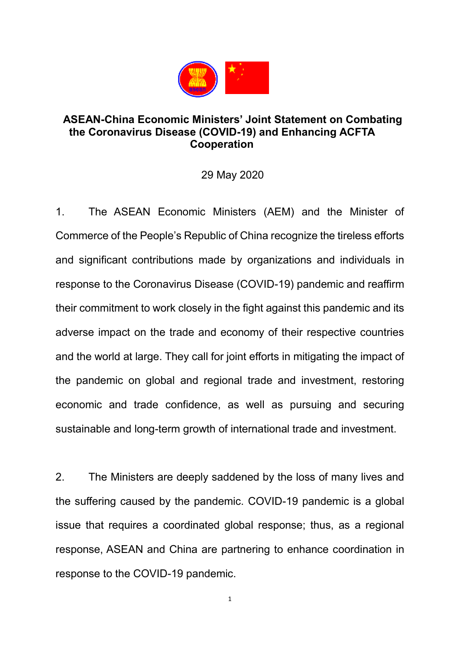

## **ASEAN-China Economic Ministers' Joint Statement on Combating the Coronavirus Disease (COVID-19) and Enhancing ACFTA Cooperation**

## 29 May 2020

1. The ASEAN Economic Ministers (AEM) and the Minister of Commerce of the People's Republic of China recognize the tireless efforts and significant contributions made by organizations and individuals in response to the Coronavirus Disease (COVID-19) pandemic and reaffirm their commitment to work closely in the fight against this pandemic and its adverse impact on the trade and economy of their respective countries and the world at large. They call for joint efforts in mitigating the impact of the pandemic on global and regional trade and investment, restoring economic and trade confidence, as well as pursuing and securing sustainable and long-term growth of international trade and investment.

2. The Ministers are deeply saddened by the loss of many lives and the suffering caused by the pandemic. COVID-19 pandemic is a global issue that requires a coordinated global response; thus, as a regional response, ASEAN and China are partnering to enhance coordination in response to the COVID-19 pandemic.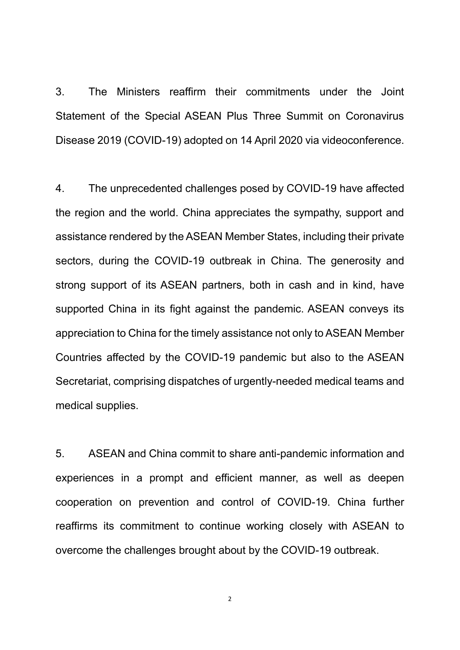3. The Ministers reaffirm their commitments under the Joint Statement of the Special ASEAN Plus Three Summit on Coronavirus Disease 2019 (COVID-19) adopted on 14 April 2020 via videoconference.

4. The unprecedented challenges posed by COVID-19 have affected the region and the world. China appreciates the sympathy, support and assistance rendered by the ASEAN Member States, including their private sectors, during the COVID-19 outbreak in China. The generosity and strong support of its ASEAN partners, both in cash and in kind, have supported China in its fight against the pandemic. ASEAN conveys its appreciation to China for the timely assistance not only to ASEAN Member Countries affected by the COVID-19 pandemic but also to the ASEAN Secretariat, comprising dispatches of urgently-needed medical teams and medical supplies.

5. ASEAN and China commit to share anti-pandemic information and experiences in a prompt and efficient manner, as well as deepen cooperation on prevention and control of COVID-19. China further reaffirms its commitment to continue working closely with ASEAN to overcome the challenges brought about by the COVID-19 outbreak.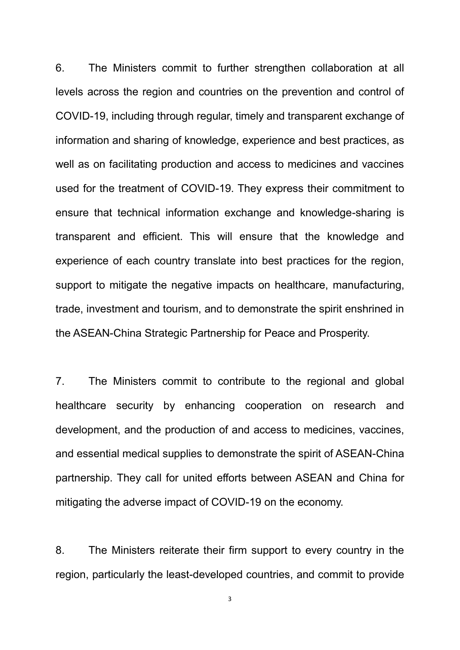6. The Ministers commit to further strengthen collaboration at all levels across the region and countries on the prevention and control of COVID-19, including through regular, timely and transparent exchange of information and sharing of knowledge, experience and best practices, as well as on facilitating production and access to medicines and vaccines used for the treatment of COVID-19. They express their commitment to ensure that technical information exchange and knowledge-sharing is transparent and efficient. This will ensure that the knowledge and experience of each country translate into best practices for the region, support to mitigate the negative impacts on healthcare, manufacturing, trade, investment and tourism, and to demonstrate the spirit enshrined in the ASEAN-China Strategic Partnership for Peace and Prosperity.

7. The Ministers commit to contribute to the regional and global healthcare security by enhancing cooperation on research and development, and the production of and access to medicines, vaccines, and essential medical supplies to demonstrate the spirit of ASEAN-China partnership. They call for united efforts between ASEAN and China for mitigating the adverse impact of COVID-19 on the economy.

8. The Ministers reiterate their firm support to every country in the region, particularly the least-developed countries, and commit to provide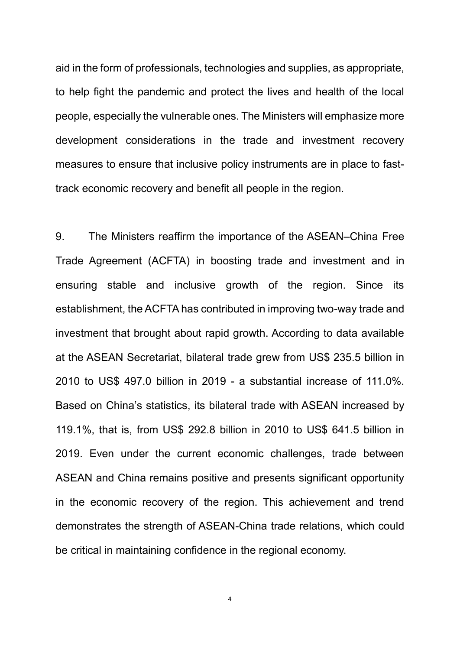aid in the form of professionals, technologies and supplies, as appropriate, to help fight the pandemic and protect the lives and health of the local people, especially the vulnerable ones. The Ministers will emphasize more development considerations in the trade and investment recovery measures to ensure that inclusive policy instruments are in place to fasttrack economic recovery and benefit all people in the region.

9. The Ministers reaffirm the importance of the ASEAN–China Free Trade Agreement (ACFTA) in boosting trade and investment and in ensuring stable and inclusive growth of the region. Since its establishment, the ACFTA has contributed in improving two-way trade and investment that brought about rapid growth. According to data available at the ASEAN Secretariat, bilateral trade grew from US\$ 235.5 billion in 2010 to US\$ 497.0 billion in 2019 - a substantial increase of 111.0%. Based on China's statistics, its bilateral trade with ASEAN increased by 119.1%, that is, from US\$ 292.8 billion in 2010 to US\$ 641.5 billion in 2019. Even under the current economic challenges, trade between ASEAN and China remains positive and presents significant opportunity in the economic recovery of the region. This achievement and trend demonstrates the strength of ASEAN-China trade relations, which could be critical in maintaining confidence in the regional economy.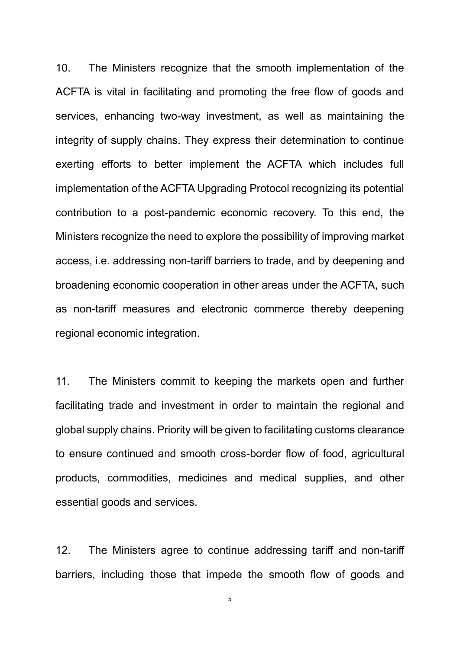10. The Ministers recognize that the smooth implementation of the ACFTA is vital in facilitating and promoting the free flow of goods and services, enhancing two-way investment, as well as maintaining the integrity of supply chains. They express their determination to continue exerting efforts to better implement the ACFTA which includes full implementation of the ACFTA Upgrading Protocol recognizing its potential contribution to a post-pandemic economic recovery. To this end, the Ministers recognize the need to explore the possibility of improving market access, i.e. addressing non-tariff barriers to trade, and by deepening and broadening economic cooperation in other areas under the ACFTA, such as non-tariff measures and electronic commerce thereby deepening regional economic integration.

11. The Ministers commit to keeping the markets open and further facilitating trade and investment in order to maintain the regional and global supply chains. Priority will be given to facilitating customs clearance to ensure continued and smooth cross-border flow of food, agricultural products, commodities, medicines and medical supplies, and other essential goods and services.

12. The Ministers agree to continue addressing tariff and non-tariff barriers, including those that impede the smooth flow of goods and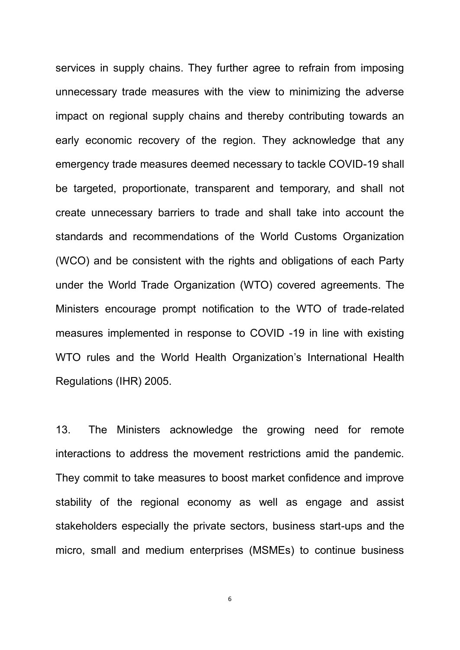services in supply chains. They further agree to refrain from imposing unnecessary trade measures with the view to minimizing the adverse impact on regional supply chains and thereby contributing towards an early economic recovery of the region. They acknowledge that any emergency trade measures deemed necessary to tackle COVID-19 shall be targeted, proportionate, transparent and temporary, and shall not create unnecessary barriers to trade and shall take into account the standards and recommendations of the World Customs Organization (WCO) and be consistent with the rights and obligations of each Party under the World Trade Organization (WTO) covered agreements. The Ministers encourage prompt notification to the WTO of trade-related measures implemented in response to COVID -19 in line with existing WTO rules and the World Health Organization's International Health Regulations (IHR) 2005.

13. The Ministers acknowledge the growing need for remote interactions to address the movement restrictions amid the pandemic. They commit to take measures to boost market confidence and improve stability of the regional economy as well as engage and assist stakeholders especially the private sectors, business start-ups and the micro, small and medium enterprises (MSMEs) to continue business